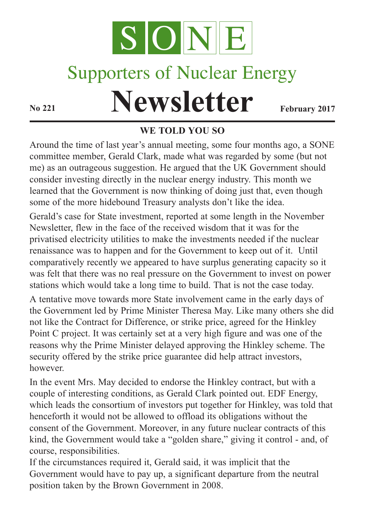

# Supporters of Nuclear Energy

# **Newsletter February** 2017

# **WE TOLD YOU SO**

Around the time of last year's annual meeting, some four months ago, a SONE committee member, Gerald Clark, made what was regarded by some (but not me) as an outrageous suggestion. He argued that the UK Government should consider investing directly in the nuclear energy industry. This month we learned that the Government is now thinking of doing just that, even though some of the more hidebound Treasury analysts don't like the idea.

Gerald's case for State investment, reported at some length in the November Newsletter, flew in the face of the received wisdom that it was for the privatised electricity utilities to make the investments needed if the nuclear renaissance was to happen and for the Government to keep out of it. Until comparatively recently we appeared to have surplus generating capacity so it was felt that there was no real pressure on the Government to invest on power stations which would take a long time to build. That is not the case today.

A tentative move towards more State involvement came in the early days of the Government led by Prime Minister Theresa May. Like many others she did not like the Contract for Difference, or strike price, agreed for the Hinkley Point C project. It was certainly set at a very high figure and was one of the reasons why the Prime Minister delayed approving the Hinkley scheme. The security offered by the strike price guarantee did help attract investors, however.

In the event Mrs. May decided to endorse the Hinkley contract, but with a couple of interesting conditions, as Gerald Clark pointed out. EDF Energy, which leads the consortium of investors put together for Hinkley, was told that henceforth it would not be allowed to offload its obligations without the consent of the Government. Moreover, in any future nuclear contracts of this kind, the Government would take a "golden share," giving it control - and, of course, responsibilities.

If the circumstances required it, Gerald said, it was implicit that the Government would have to pay up, a significant departure from the neutral position taken by the Brown Government in 2008.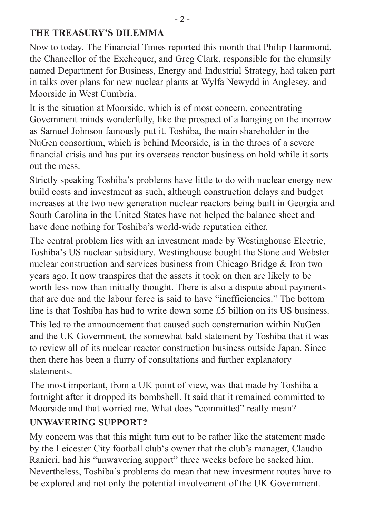#### **THE TREASURY'S DILEMMA**

Now to today. The Financial Times reported this month that Philip Hammond, the Chancellor of the Exchequer, and Greg Clark, responsible for the clumsily named Department for Business, Energy and Industrial Strategy, had taken part in talks over plans for new nuclear plants at Wylfa Newydd in Anglesey, and Moorside in West Cumbria.

It is the situation at Moorside, which is of most concern, concentrating Government minds wonderfully, like the prospect of a hanging on the morrow as Samuel Johnson famously put it. Toshiba, the main shareholder in the NuGen consortium, which is behind Moorside, is in the throes of a severe financial crisis and has put its overseas reactor business on hold while it sorts out the mess.

Strictly speaking Toshiba's problems have little to do with nuclear energy new build costs and investment as such, although construction delays and budget increases at the two new generation nuclear reactors being built in Georgia and South Carolina in the United States have not helped the balance sheet and have done nothing for Toshiba's world-wide reputation either.

The central problem lies with an investment made by Westinghouse Electric, Toshiba's US nuclear subsidiary. Westinghouse bought the Stone and Webster nuclear construction and services business from Chicago Bridge & Iron two years ago. It now transpires that the assets it took on then are likely to be worth less now than initially thought. There is also a dispute about payments that are due and the labour force is said to have "inefficiencies." The bottom line is that Toshiba has had to write down some £5 billion on its US business.

This led to the announcement that caused such consternation within NuGen and the UK Government, the somewhat bald statement by Toshiba that it was to review all of its nuclear reactor construction business outside Japan. Since then there has been a flurry of consultations and further explanatory statements.

The most important, from a UK point of view, was that made by Toshiba a fortnight after it dropped its bombshell. It said that it remained committed to Moorside and that worried me. What does "committed" really mean?

#### **UNWAVERING SUPPORT?**

My concern was that this might turn out to be rather like the statement made by the Leicester City football club's owner that the club's manager, Claudio Ranieri, had his "unwavering support" three weeks before he sacked him. Nevertheless, Toshiba's problems do mean that new investment routes have to be explored and not only the potential involvement of the UK Government.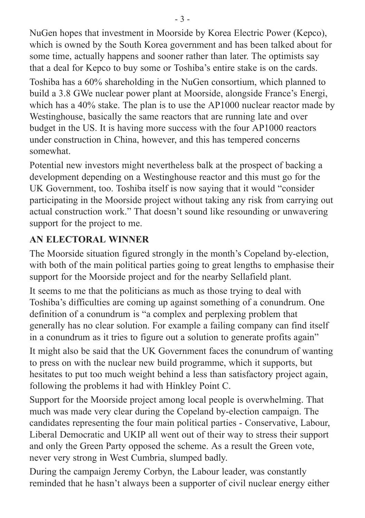NuGen hopes that investment in Moorside by Korea Electric Power (Kepco), which is owned by the South Korea government and has been talked about for some time, actually happens and sooner rather than later. The optimists say that a deal for Kepco to buy some or Toshiba's entire stake is on the cards. Toshiba has a 60% shareholding in the NuGen consortium, which planned to build a 3.8 GWe nuclear power plant at Moorside, alongside France's Energi, which has a 40% stake. The plan is to use the AP1000 nuclear reactor made by Westinghouse, basically the same reactors that are running late and over budget in the US. It is having more success with the four AP1000 reactors under construction in China, however, and this has tempered concerns somewhat.

Potential new investors might nevertheless balk at the prospect of backing a development depending on a Westinghouse reactor and this must go for the UK Government, too. Toshiba itself is now saying that it would "consider participating in the Moorside project without taking any risk from carrying out actual construction work." That doesn't sound like resounding or unwavering support for the project to me.

### **AN ELECTORAL WINNER**

The Moorside situation figured strongly in the month's Copeland by-election, with both of the main political parties going to great lengths to emphasise their support for the Moorside project and for the nearby Sellafield plant.

It seems to me that the politicians as much as those trying to deal with Toshiba's difficulties are coming up against something of a conundrum. One definition of a conundrum is "a complex and perplexing problem that generally has no clear solution. For example a failing company can find itself in a conundrum as it tries to figure out a solution to generate profits again"

It might also be said that the UK Government faces the conundrum of wanting to press on with the nuclear new build programme, which it supports, but hesitates to put too much weight behind a less than satisfactory project again, following the problems it had with Hinkley Point C.

Support for the Moorside project among local people is overwhelming. That much was made very clear during the Copeland by-election campaign. The candidates representing the four main political parties - Conservative, Labour, Liberal Democratic and UKIP all went out of their way to stress their support and only the Green Party opposed the scheme. As a result the Green vote, never very strong in West Cumbria, slumped badly.

During the campaign Jeremy Corbyn, the Labour leader, was constantly reminded that he hasn't always been a supporter of civil nuclear energy either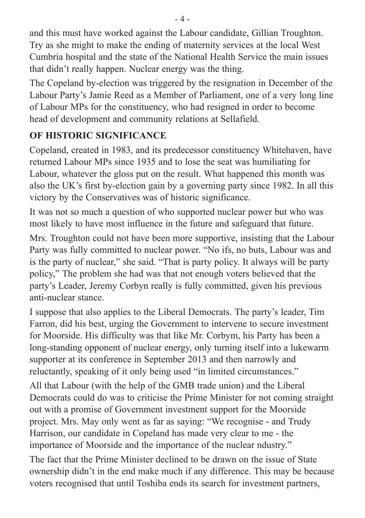and this must have worked against the Labour candidate, Gillian Troughton. Try as she might to make the ending of maternity services at the local West Cumbria hospital and the state of the National Health Service the main issues that didn't really happen. Nuclear energy was the thing.

The Copeland by-election was triggered by the resignation in December of the Labour Party's Jamie Reed as a Member of Parliament, one of a very long line of Labour MPs for the constituency, who had resigned in order to become head of development and community relations at Sellafield.

## **OF HISTORIC SIGNIFICANCE**

Copeland, created in 1983, and its predecessor constituency Whitehaven, have returned Labour MPs since 1935 and to lose the seat was humiliating for Labour, whatever the gloss put on the result. What happened this month was also the UK's first by-election gain by a governing party since 1982. In all this victory by the Conservatives was of historic significance.

It was not so much a question of who supported nuclear power but who was most likely to have most influence in the future and safeguard that future.

Mrs. Troughton could not have been more supportive, insisting that the Labour Party was fully committed to nuclear power. "No ifs, no buts, Labour was and is the party of nuclear," she said. "That is party policy. It always will be party policy," The problem she had was that not enough voters believed that the party's Leader, Jeremy Corbyn really is fully committed, given his previous anti-nuclear stance.

I suppose that also applies to the Liberal Democrats. The party's leader, Tim Farron, did his best, urging the Government to intervene to secure investment for Moorside. His difficulty was that like Mr. Corbym, his Party has been a long-standing opponent of nuclear energy, only turning itself into a lukewarm supporter at its conference in September 2013 and then narrowly and reluctantly, speaking of it only being used "in limited circumstances."

All that Labour (with the help of the GMB trade union) and the Liberal Democrats could do was to criticise the Prime Minister for not coming straight out with a promise of Government investment support for the Moorside project. Mrs. May only went as far as saying: "We recognise - and Trudy Harrison, our candidate in Copeland has made very clear to me - the importance of Moorside and the importance of the nuclear ndustry."

The fact that the Prime Minister declined to be drawn on the issue of State ownership didn't in the end make much if any difference. This may be because voters recognised that until Toshiba ends its search for investment partners,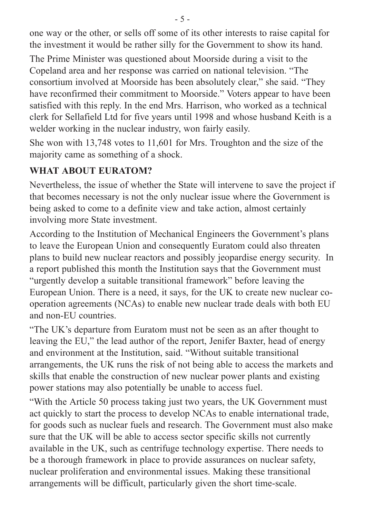one way or the other, or sells off some of its other interests to raise capital for the investment it would be rather silly for the Government to show its hand.

The Prime Minister was questioned about Moorside during a visit to the Copeland area and her response was carried on national television. "The consortium involved at Moorside has been absolutely clear," she said. "They have reconfirmed their commitment to Moorside." Voters appear to have been satisfied with this reply. In the end Mrs. Harrison, who worked as a technical clerk for Sellafield Ltd for five years until 1998 and whose husband Keith is a welder working in the nuclear industry, won fairly easily.

She won with 13,748 votes to 11,601 for Mrs. Troughton and the size of the majority came as something of a shock.

### **WHAT ABOUT EURATOM?**

Nevertheless, the issue of whether the State will intervene to save the project if that becomes necessary is not the only nuclear issue where the Government is being asked to come to a definite view and take action, almost certainly involving more State investment.

According to the Institution of Mechanical Engineers the Government's plans to leave the European Union and consequently Euratom could also threaten plans to build new nuclear reactors and possibly jeopardise energy security. In a report published this month the Institution says that the Government must "urgently develop a suitable transitional framework" before leaving the European Union. There is a need, it says, for the UK to create new nuclear cooperation agreements (NCAs) to enable new nuclear trade deals with both EU and non-EU countries.

"The UK's departure from Euratom must not be seen as an after thought to leaving the EU," the lead author of the report, Jenifer Baxter, head of energy and environment at the Institution, said. "Without suitable transitional arrangements, the UK runs the risk of not being able to access the markets and skills that enable the construction of new nuclear power plants and existing power stations may also potentially be unable to access fuel.

"With the Article 50 process taking just two years, the UK Government must act quickly to start the process to develop NCAs to enable international trade, for goods such as nuclear fuels and research. The Government must also make sure that the UK will be able to access sector specific skills not currently available in the UK, such as centrifuge technology expertise. There needs to be a thorough framework in place to provide assurances on nuclear safety, nuclear proliferation and environmental issues. Making these transitional arrangements will be difficult, particularly given the short time-scale.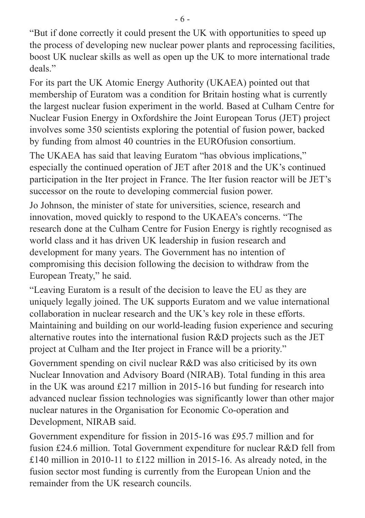"But if done correctly it could present the UK with opportunities to speed up the process of developing new nuclear power plants and reprocessing facilities, boost UK nuclear skills as well as open up the UK to more international trade deals."

For its part the UK Atomic Energy Authority (UKAEA) pointed out that membership of Euratom was a condition for Britain hosting what is currently the largest nuclear fusion experiment in the world. Based at Culham Centre for Nuclear Fusion Energy in Oxfordshire the Joint European Torus (JET) project involves some 350 scientists exploring the potential of fusion power, backed by funding from almost 40 countries in the EUROfusion consortium.

The UKAEA has said that leaving Euratom "has obvious implications," especially the continued operation of JET after 2018 and the UK's continued participation in the Iter project in France. The Iter fusion reactor will be JET's successor on the route to developing commercial fusion power.

Jo Johnson, the minister of state for universities, science, research and innovation, moved quickly to respond to the UKAEA's concerns. "The research done at the Culham Centre for Fusion Energy is rightly recognised as world class and it has driven UK leadership in fusion research and development for many years. The Government has no intention of compromising this decision following the decision to withdraw from the European Treaty," he said.

"Leaving Euratom is a result of the decision to leave the EU as they are uniquely legally joined. The UK supports Euratom and we value international collaboration in nuclear research and the UK's key role in these efforts. Maintaining and building on our world-leading fusion experience and securing alternative routes into the international fusion R&D projects such as the JET project at Culham and the Iter project in France will be a priority."

Government spending on civil nuclear R&D was also criticised by its own Nuclear Innovation and Advisory Board (NIRAB). Total funding in this area in the UK was around £217 million in 2015-16 but funding for research into advanced nuclear fission technologies was significantly lower than other major nuclear natures in the Organisation for Economic Co-operation and Development, NIRAB said.

Government expenditure for fission in 2015-16 was £95.7 million and for fusion £24.6 million. Total Government expenditure for nuclear R&D fell from £140 million in 2010-11 to £122 million in 2015-16. As already noted, in the fusion sector most funding is currently from the European Union and the remainder from the UK research councils.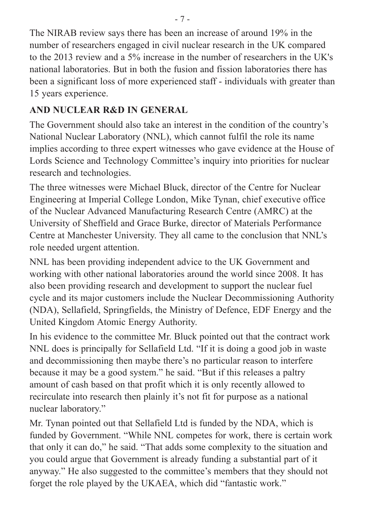The NIRAB review says there has been an increase of around 19% in the number of researchers engaged in civil nuclear research in the UK compared to the 2013 review and a 5% increase in the number of researchers in the UK's national laboratories. But in both the fusion and fission laboratories there has been a significant loss of more experienced staff - individuals with greater than 15 years experience.

#### **AND NUCLEAR R&D IN GENERAL**

The Government should also take an interest in the condition of the country's National Nuclear Laboratory (NNL), which cannot fulfil the role its name implies according to three expert witnesses who gave evidence at the House of Lords Science and Technology Committee's inquiry into priorities for nuclear research and technologies.

The three witnesses were Michael Bluck, director of the Centre for Nuclear Engineering at Imperial College London, Mike Tynan, chief executive office of the Nuclear Advanced Manufacturing Research Centre (AMRC) at the University of Sheffield and Grace Burke, director of Materials Performance Centre at Manchester University. They all came to the conclusion that NNL's role needed urgent attention.

NNL has been providing independent advice to the UK Government and working with other national laboratories around the world since 2008. It has also been providing research and development to support the nuclear fuel cycle and its major customers include the Nuclear Decommissioning Authority (NDA), Sellafield, Springfields, the Ministry of Defence, EDF Energy and the United Kingdom Atomic Energy Authority.

In his evidence to the committee Mr. Bluck pointed out that the contract work NNL does is principally for Sellafield Ltd. "If it is doing a good job in waste and decommissioning then maybe there's no particular reason to interfere because it may be a good system." he said. "But if this releases a paltry amount of cash based on that profit which it is only recently allowed to recirculate into research then plainly it's not fit for purpose as a national nuclear laboratory."

Mr. Tynan pointed out that Sellafield Ltd is funded by the NDA, which is funded by Government. "While NNL competes for work, there is certain work that only it can do," he said. "That adds some complexity to the situation and you could argue that Government is already funding a substantial part of it anyway." He also suggested to the committee's members that they should not forget the role played by the UKAEA, which did "fantastic work."